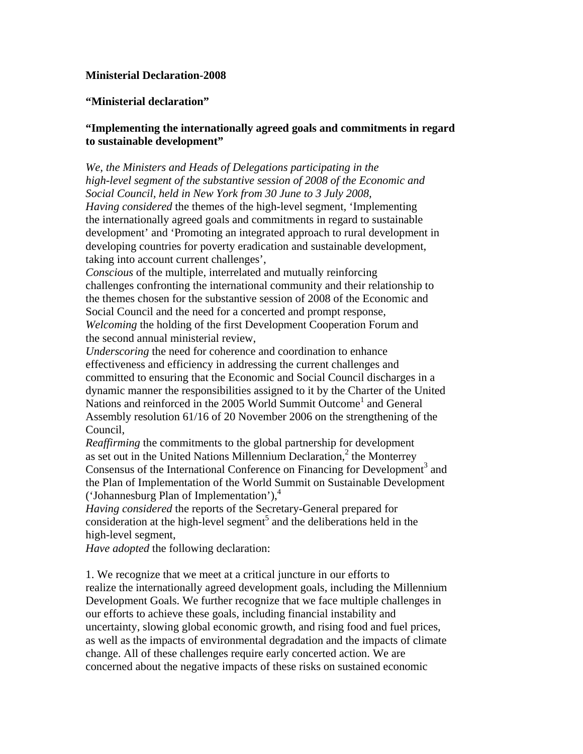## **Ministerial Declaration-2008**

## **"Ministerial declaration"**

## **"Implementing the internationally agreed goals and commitments in regard to sustainable development"**

*We, the Ministers and Heads of Delegations participating in the high-level segment of the substantive session of 2008 of the Economic and Social Council, held in New York from 30 June to 3 July 2008, Having considered* the themes of the high-level segment, 'Implementing the internationally agreed goals and commitments in regard to sustainable development' and 'Promoting an integrated approach to rural development in developing countries for poverty eradication and sustainable development, taking into account current challenges',

*Conscious* of the multiple, interrelated and mutually reinforcing challenges confronting the international community and their relationship to the themes chosen for the substantive session of 2008 of the Economic and Social Council and the need for a concerted and prompt response, *Welcoming* the holding of the first Development Cooperation Forum and the second annual ministerial review,

*Underscoring* the need for coherence and coordination to enhance effectiveness and efficiency in addressing the current challenges and committed to ensuring that the Economic and Social Council discharges in a dynamic manner the responsibilities assigned to it by the Charter of the United Nations and reinforced in the 2005 World Summit Outcome<sup>1</sup> and General Assembly resolution 61/16 of 20 November 2006 on the strengthening of the Council,

*Reaffirming* the commitments to the global partnership for development as set out in the United Nations Millennium Declaration,<sup>2</sup> the Monterrey Consensus of the International Conference on Financing for Development<sup>3</sup> and the Plan of Implementation of the World Summit on Sustainable Development ('Johannesburg Plan of Implementation'), $4$ 

*Having considered* the reports of the Secretary-General prepared for consideration at the high-level segment<sup>5</sup> and the deliberations held in the high-level segment,

*Have adopted* the following declaration:

1. We recognize that we meet at a critical juncture in our efforts to realize the internationally agreed development goals, including the Millennium Development Goals. We further recognize that we face multiple challenges in our efforts to achieve these goals, including financial instability and uncertainty, slowing global economic growth, and rising food and fuel prices, as well as the impacts of environmental degradation and the impacts of climate change. All of these challenges require early concerted action. We are concerned about the negative impacts of these risks on sustained economic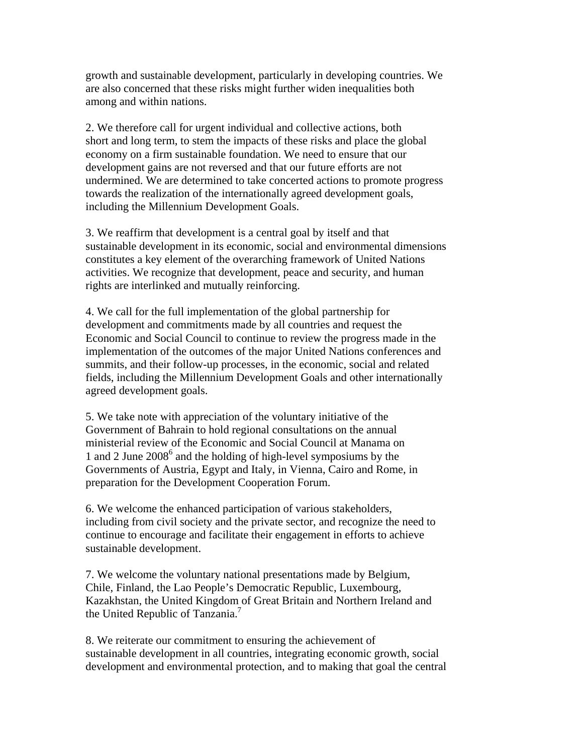growth and sustainable development, particularly in developing countries. We are also concerned that these risks might further widen inequalities both among and within nations.

2. We therefore call for urgent individual and collective actions, both short and long term, to stem the impacts of these risks and place the global economy on a firm sustainable foundation. We need to ensure that our development gains are not reversed and that our future efforts are not undermined. We are determined to take concerted actions to promote progress towards the realization of the internationally agreed development goals, including the Millennium Development Goals.

3. We reaffirm that development is a central goal by itself and that sustainable development in its economic, social and environmental dimensions constitutes a key element of the overarching framework of United Nations activities. We recognize that development, peace and security, and human rights are interlinked and mutually reinforcing.

4. We call for the full implementation of the global partnership for development and commitments made by all countries and request the Economic and Social Council to continue to review the progress made in the implementation of the outcomes of the major United Nations conferences and summits, and their follow-up processes, in the economic, social and related fields, including the Millennium Development Goals and other internationally agreed development goals.

5. We take note with appreciation of the voluntary initiative of the Government of Bahrain to hold regional consultations on the annual ministerial review of the Economic and Social Council at Manama on 1 and 2 June 2008<sup>6</sup> and the holding of high-level symposiums by the Governments of Austria, Egypt and Italy, in Vienna, Cairo and Rome, in preparation for the Development Cooperation Forum.

6. We welcome the enhanced participation of various stakeholders, including from civil society and the private sector, and recognize the need to continue to encourage and facilitate their engagement in efforts to achieve sustainable development.

7. We welcome the voluntary national presentations made by Belgium, Chile, Finland, the Lao People's Democratic Republic, Luxembourg, Kazakhstan, the United Kingdom of Great Britain and Northern Ireland and the United Republic of Tanzania.<sup>7</sup>

8. We reiterate our commitment to ensuring the achievement of sustainable development in all countries, integrating economic growth, social development and environmental protection, and to making that goal the central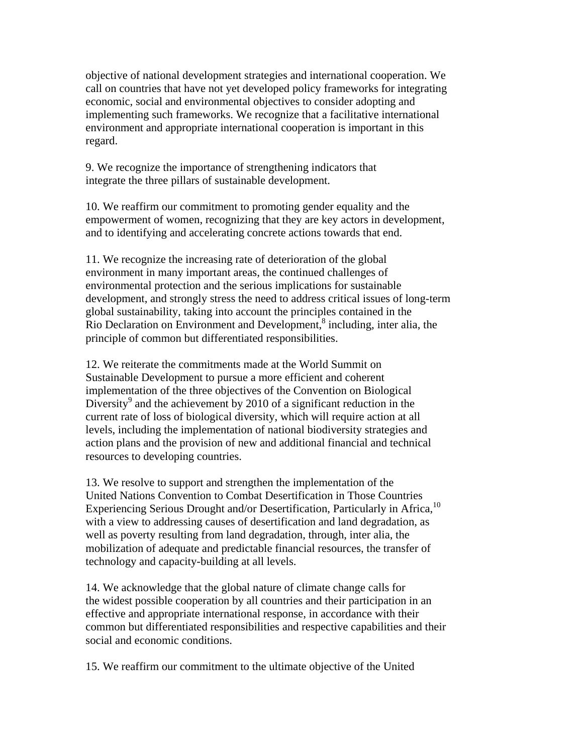objective of national development strategies and international cooperation. We call on countries that have not yet developed policy frameworks for integrating economic, social and environmental objectives to consider adopting and implementing such frameworks. We recognize that a facilitative international environment and appropriate international cooperation is important in this regard.

9. We recognize the importance of strengthening indicators that integrate the three pillars of sustainable development.

10. We reaffirm our commitment to promoting gender equality and the empowerment of women, recognizing that they are key actors in development, and to identifying and accelerating concrete actions towards that end.

11. We recognize the increasing rate of deterioration of the global environment in many important areas, the continued challenges of environmental protection and the serious implications for sustainable development, and strongly stress the need to address critical issues of long-term global sustainability, taking into account the principles contained in the  $\overline{R}$  is Declaration on Environment and Development,<sup>8</sup> including, inter alia, the principle of common but differentiated responsibilities.

12. We reiterate the commitments made at the World Summit on Sustainable Development to pursue a more efficient and coherent implementation of the three objectives of the Convention on Biological Diversity<sup>9</sup> and the achievement by 2010 of a significant reduction in the current rate of loss of biological diversity, which will require action at all levels, including the implementation of national biodiversity strategies and action plans and the provision of new and additional financial and technical resources to developing countries.

13. We resolve to support and strengthen the implementation of the United Nations Convention to Combat Desertification in Those Countries Experiencing Serious Drought and/or Desertification, Particularly in Africa,<sup>10</sup> with a view to addressing causes of desertification and land degradation, as well as poverty resulting from land degradation, through, inter alia, the mobilization of adequate and predictable financial resources, the transfer of technology and capacity-building at all levels.

14. We acknowledge that the global nature of climate change calls for the widest possible cooperation by all countries and their participation in an effective and appropriate international response, in accordance with their common but differentiated responsibilities and respective capabilities and their social and economic conditions.

15. We reaffirm our commitment to the ultimate objective of the United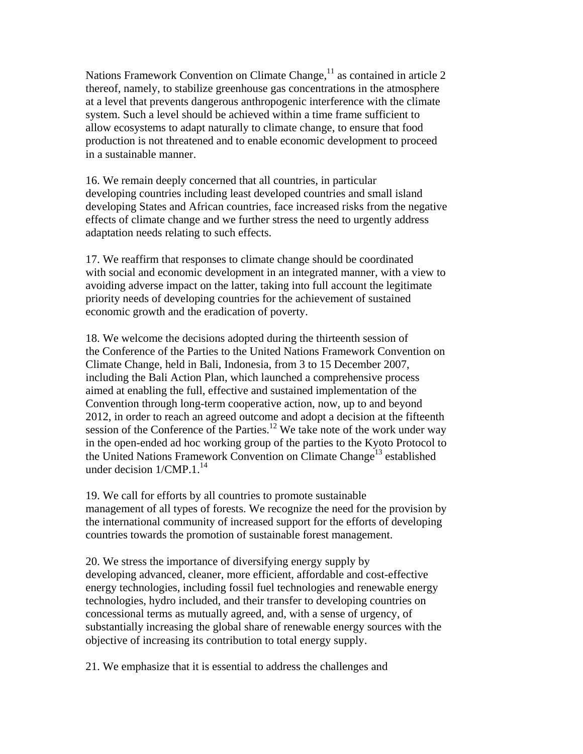Nations Framework Convention on Climate Change,<sup>11</sup> as contained in article 2 thereof, namely, to stabilize greenhouse gas concentrations in the atmosphere at a level that prevents dangerous anthropogenic interference with the climate system. Such a level should be achieved within a time frame sufficient to allow ecosystems to adapt naturally to climate change, to ensure that food production is not threatened and to enable economic development to proceed in a sustainable manner.

16. We remain deeply concerned that all countries, in particular developing countries including least developed countries and small island developing States and African countries, face increased risks from the negative effects of climate change and we further stress the need to urgently address adaptation needs relating to such effects.

17. We reaffirm that responses to climate change should be coordinated with social and economic development in an integrated manner, with a view to avoiding adverse impact on the latter, taking into full account the legitimate priority needs of developing countries for the achievement of sustained economic growth and the eradication of poverty.

18. We welcome the decisions adopted during the thirteenth session of the Conference of the Parties to the United Nations Framework Convention on Climate Change, held in Bali, Indonesia, from 3 to 15 December 2007, including the Bali Action Plan, which launched a comprehensive process aimed at enabling the full, effective and sustained implementation of the Convention through long-term cooperative action, now, up to and beyond 2012, in order to reach an agreed outcome and adopt a decision at the fifteenth session of the Conference of the Parties.<sup>12</sup> We take note of the work under way in the open-ended ad hoc working group of the parties to the Kyoto Protocol to the United Nations Framework Convention on Climate Change<sup>13</sup> established under decision  $1/CMP.1.^{14}$ 

19. We call for efforts by all countries to promote sustainable management of all types of forests. We recognize the need for the provision by the international community of increased support for the efforts of developing countries towards the promotion of sustainable forest management.

20. We stress the importance of diversifying energy supply by developing advanced, cleaner, more efficient, affordable and cost-effective energy technologies, including fossil fuel technologies and renewable energy technologies, hydro included, and their transfer to developing countries on concessional terms as mutually agreed, and, with a sense of urgency, of substantially increasing the global share of renewable energy sources with the objective of increasing its contribution to total energy supply.

21. We emphasize that it is essential to address the challenges and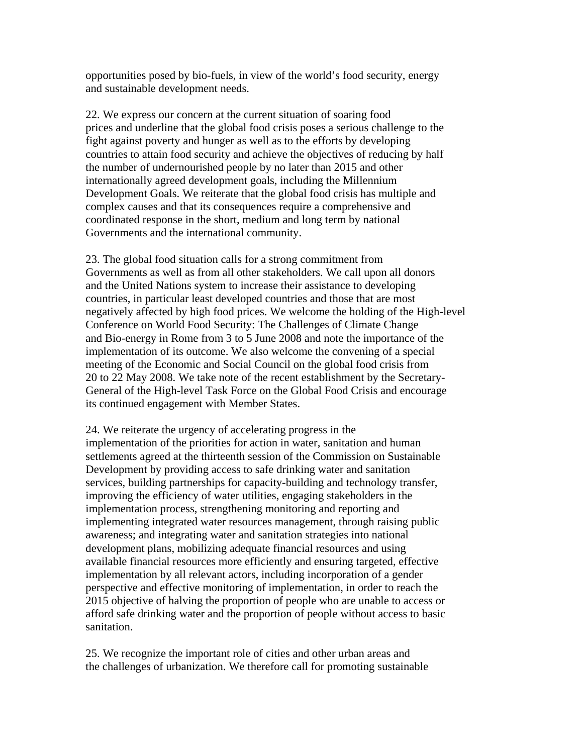opportunities posed by bio-fuels, in view of the world's food security, energy and sustainable development needs.

22. We express our concern at the current situation of soaring food prices and underline that the global food crisis poses a serious challenge to the fight against poverty and hunger as well as to the efforts by developing countries to attain food security and achieve the objectives of reducing by half the number of undernourished people by no later than 2015 and other internationally agreed development goals, including the Millennium Development Goals. We reiterate that the global food crisis has multiple and complex causes and that its consequences require a comprehensive and coordinated response in the short, medium and long term by national Governments and the international community.

23. The global food situation calls for a strong commitment from Governments as well as from all other stakeholders. We call upon all donors and the United Nations system to increase their assistance to developing countries, in particular least developed countries and those that are most negatively affected by high food prices. We welcome the holding of the High-level Conference on World Food Security: The Challenges of Climate Change and Bio-energy in Rome from 3 to 5 June 2008 and note the importance of the implementation of its outcome. We also welcome the convening of a special meeting of the Economic and Social Council on the global food crisis from 20 to 22 May 2008. We take note of the recent establishment by the Secretary-General of the High-level Task Force on the Global Food Crisis and encourage its continued engagement with Member States.

24. We reiterate the urgency of accelerating progress in the implementation of the priorities for action in water, sanitation and human settlements agreed at the thirteenth session of the Commission on Sustainable Development by providing access to safe drinking water and sanitation services, building partnerships for capacity-building and technology transfer, improving the efficiency of water utilities, engaging stakeholders in the implementation process, strengthening monitoring and reporting and implementing integrated water resources management, through raising public awareness; and integrating water and sanitation strategies into national development plans, mobilizing adequate financial resources and using available financial resources more efficiently and ensuring targeted, effective implementation by all relevant actors, including incorporation of a gender perspective and effective monitoring of implementation, in order to reach the 2015 objective of halving the proportion of people who are unable to access or afford safe drinking water and the proportion of people without access to basic sanitation.

25. We recognize the important role of cities and other urban areas and the challenges of urbanization. We therefore call for promoting sustainable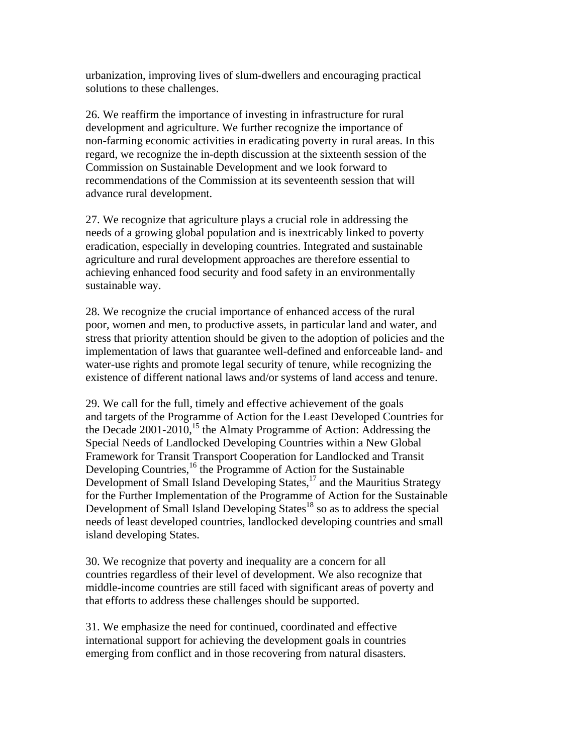urbanization, improving lives of slum-dwellers and encouraging practical solutions to these challenges.

26. We reaffirm the importance of investing in infrastructure for rural development and agriculture. We further recognize the importance of non-farming economic activities in eradicating poverty in rural areas. In this regard, we recognize the in-depth discussion at the sixteenth session of the Commission on Sustainable Development and we look forward to recommendations of the Commission at its seventeenth session that will advance rural development.

27. We recognize that agriculture plays a crucial role in addressing the needs of a growing global population and is inextricably linked to poverty eradication, especially in developing countries. Integrated and sustainable agriculture and rural development approaches are therefore essential to achieving enhanced food security and food safety in an environmentally sustainable way.

28. We recognize the crucial importance of enhanced access of the rural poor, women and men, to productive assets, in particular land and water, and stress that priority attention should be given to the adoption of policies and the implementation of laws that guarantee well-defined and enforceable land- and water-use rights and promote legal security of tenure, while recognizing the existence of different national laws and/or systems of land access and tenure.

29. We call for the full, timely and effective achievement of the goals and targets of the Programme of Action for the Least Developed Countries for the Decade  $2001-2010$ , <sup>15</sup> the Almaty Programme of Action: Addressing the Special Needs of Landlocked Developing Countries within a New Global Framework for Transit Transport Cooperation for Landlocked and Transit Developing Countries,<sup>16</sup> the Programme of Action for the Sustainable Development of Small Island Developing States,<sup>17</sup> and the Mauritius Strategy for the Further Implementation of the Programme of Action for the Sustainable Development of Small Island Developing States<sup>18</sup> so as to address the special needs of least developed countries, landlocked developing countries and small island developing States.

30. We recognize that poverty and inequality are a concern for all countries regardless of their level of development. We also recognize that middle-income countries are still faced with significant areas of poverty and that efforts to address these challenges should be supported.

31. We emphasize the need for continued, coordinated and effective international support for achieving the development goals in countries emerging from conflict and in those recovering from natural disasters.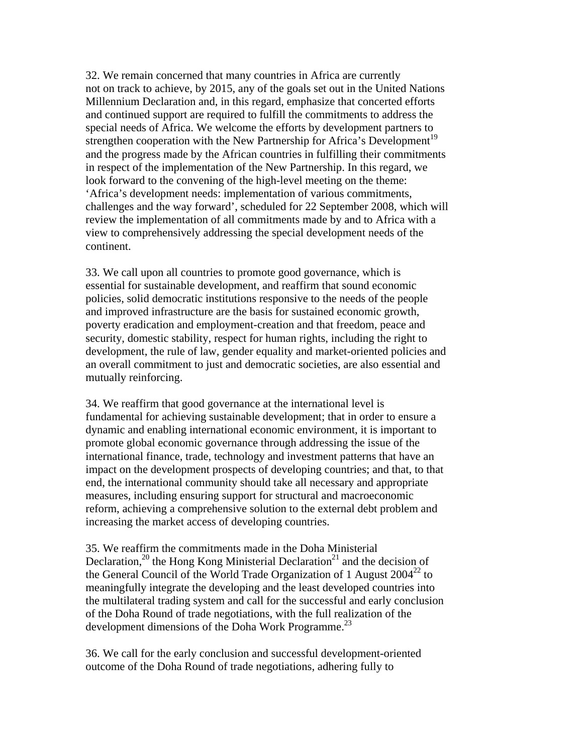32. We remain concerned that many countries in Africa are currently not on track to achieve, by 2015, any of the goals set out in the United Nations Millennium Declaration and, in this regard, emphasize that concerted efforts and continued support are required to fulfill the commitments to address the special needs of Africa. We welcome the efforts by development partners to strengthen cooperation with the New Partnership for Africa's Development<sup>19</sup> and the progress made by the African countries in fulfilling their commitments in respect of the implementation of the New Partnership. In this regard, we look forward to the convening of the high-level meeting on the theme: 'Africa's development needs: implementation of various commitments, challenges and the way forward', scheduled for 22 September 2008, which will review the implementation of all commitments made by and to Africa with a view to comprehensively addressing the special development needs of the continent.

33. We call upon all countries to promote good governance, which is essential for sustainable development, and reaffirm that sound economic policies, solid democratic institutions responsive to the needs of the people and improved infrastructure are the basis for sustained economic growth, poverty eradication and employment-creation and that freedom, peace and security, domestic stability, respect for human rights, including the right to development, the rule of law, gender equality and market-oriented policies and an overall commitment to just and democratic societies, are also essential and mutually reinforcing.

34. We reaffirm that good governance at the international level is fundamental for achieving sustainable development; that in order to ensure a dynamic and enabling international economic environment, it is important to promote global economic governance through addressing the issue of the international finance, trade, technology and investment patterns that have an impact on the development prospects of developing countries; and that, to that end, the international community should take all necessary and appropriate measures, including ensuring support for structural and macroeconomic reform, achieving a comprehensive solution to the external debt problem and increasing the market access of developing countries.

35. We reaffirm the commitments made in the Doha Ministerial Declaration,<sup>20</sup> the Hong Kong Ministerial Declaration<sup>21</sup> and the decision of the General Council of the World Trade Organization of 1 August  $2004^{22}$  to meaningfully integrate the developing and the least developed countries into the multilateral trading system and call for the successful and early conclusion of the Doha Round of trade negotiations, with the full realization of the development dimensions of the Doha Work Programme.<sup>23</sup>

36. We call for the early conclusion and successful development-oriented outcome of the Doha Round of trade negotiations, adhering fully to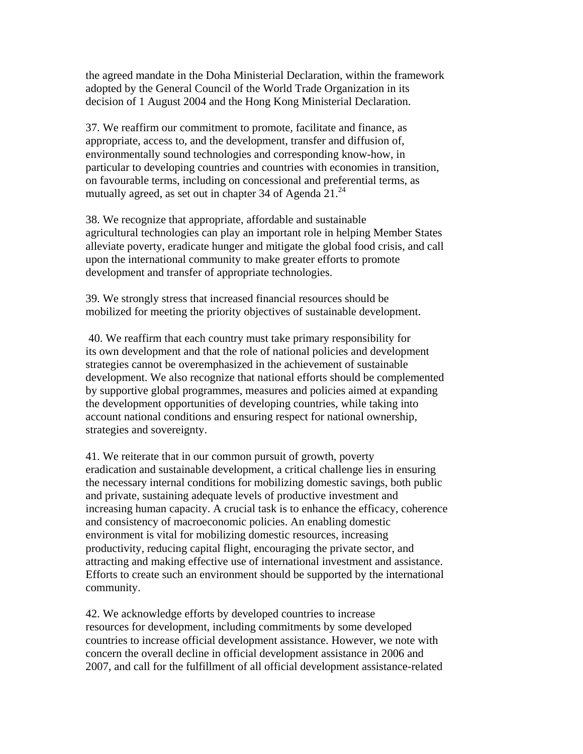the agreed mandate in the Doha Ministerial Declaration, within the framework adopted by the General Council of the World Trade Organization in its decision of 1 August 2004 and the Hong Kong Ministerial Declaration.

37. We reaffirm our commitment to promote, facilitate and finance, as appropriate, access to, and the development, transfer and diffusion of, environmentally sound technologies and corresponding know-how, in particular to developing countries and countries with economies in transition, on favourable terms, including on concessional and preferential terms, as mutually agreed, as set out in chapter 34 of Agenda  $21.^{24}$ 

38. We recognize that appropriate, affordable and sustainable agricultural technologies can play an important role in helping Member States alleviate poverty, eradicate hunger and mitigate the global food crisis, and call upon the international community to make greater efforts to promote development and transfer of appropriate technologies.

39. We strongly stress that increased financial resources should be mobilized for meeting the priority objectives of sustainable development.

 40. We reaffirm that each country must take primary responsibility for its own development and that the role of national policies and development strategies cannot be overemphasized in the achievement of sustainable development. We also recognize that national efforts should be complemented by supportive global programmes, measures and policies aimed at expanding the development opportunities of developing countries, while taking into account national conditions and ensuring respect for national ownership, strategies and sovereignty.

41. We reiterate that in our common pursuit of growth, poverty eradication and sustainable development, a critical challenge lies in ensuring the necessary internal conditions for mobilizing domestic savings, both public and private, sustaining adequate levels of productive investment and increasing human capacity. A crucial task is to enhance the efficacy, coherence and consistency of macroeconomic policies. An enabling domestic environment is vital for mobilizing domestic resources, increasing productivity, reducing capital flight, encouraging the private sector, and attracting and making effective use of international investment and assistance. Efforts to create such an environment should be supported by the international community.

42. We acknowledge efforts by developed countries to increase resources for development, including commitments by some developed countries to increase official development assistance. However, we note with concern the overall decline in official development assistance in 2006 and 2007, and call for the fulfillment of all official development assistance-related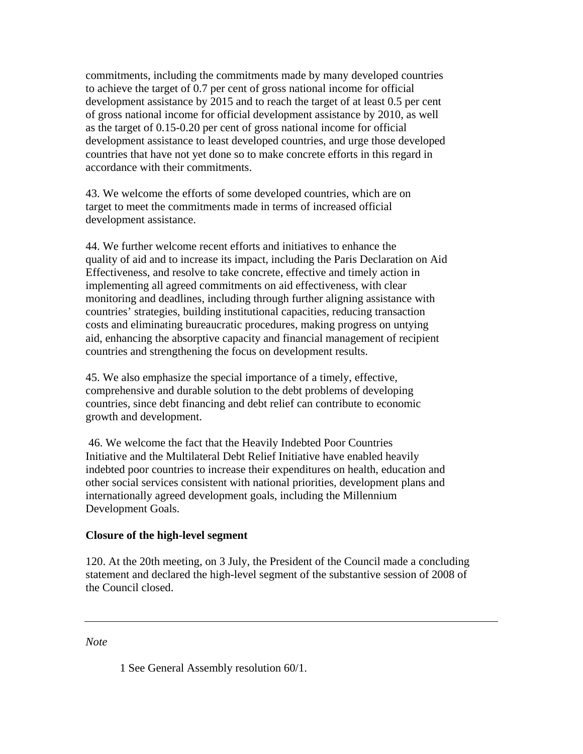commitments, including the commitments made by many developed countries to achieve the target of 0.7 per cent of gross national income for official development assistance by 2015 and to reach the target of at least 0.5 per cent of gross national income for official development assistance by 2010, as well as the target of 0.15-0.20 per cent of gross national income for official development assistance to least developed countries, and urge those developed countries that have not yet done so to make concrete efforts in this regard in accordance with their commitments.

43. We welcome the efforts of some developed countries, which are on target to meet the commitments made in terms of increased official development assistance.

44. We further welcome recent efforts and initiatives to enhance the quality of aid and to increase its impact, including the Paris Declaration on Aid Effectiveness, and resolve to take concrete, effective and timely action in implementing all agreed commitments on aid effectiveness, with clear monitoring and deadlines, including through further aligning assistance with countries' strategies, building institutional capacities, reducing transaction costs and eliminating bureaucratic procedures, making progress on untying aid, enhancing the absorptive capacity and financial management of recipient countries and strengthening the focus on development results.

45. We also emphasize the special importance of a timely, effective, comprehensive and durable solution to the debt problems of developing countries, since debt financing and debt relief can contribute to economic growth and development.

 46. We welcome the fact that the Heavily Indebted Poor Countries Initiative and the Multilateral Debt Relief Initiative have enabled heavily indebted poor countries to increase their expenditures on health, education and other social services consistent with national priorities, development plans and internationally agreed development goals, including the Millennium Development Goals.

## **Closure of the high-level segment**

120. At the 20th meeting, on 3 July, the President of the Council made a concluding statement and declared the high-level segment of the substantive session of 2008 of the Council closed.

*Note*

1 See General Assembly resolution 60/1.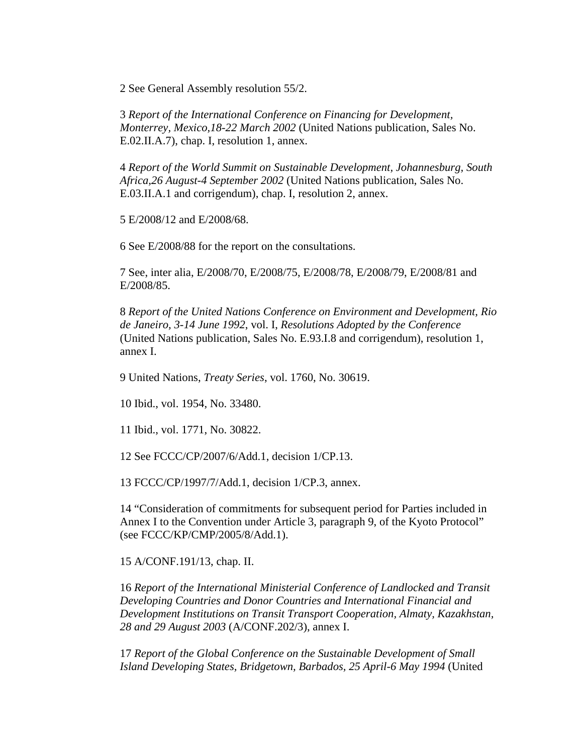2 See General Assembly resolution 55/2.

3 *Report of the International Conference on Financing for Development, Monterrey, Mexico,18-22 March 2002* (United Nations publication, Sales No. E.02.II.A.7), chap. I, resolution 1, annex.

4 *Report of the World Summit on Sustainable Development, Johannesburg, South Africa,26 August-4 September 2002* (United Nations publication, Sales No. E.03.II.A.1 and corrigendum), chap. I, resolution 2, annex.

5 E/2008/12 and E/2008/68.

6 See E/2008/88 for the report on the consultations.

7 See, inter alia, E/2008/70, E/2008/75, E/2008/78, E/2008/79, E/2008/81 and E/2008/85.

8 *Report of the United Nations Conference on Environment and Development, Rio de Janeiro, 3-14 June 1992*, vol. I, *Resolutions Adopted by the Conference*  (United Nations publication, Sales No. E.93.I.8 and corrigendum), resolution 1, annex I.

9 United Nations, *Treaty Series*, vol. 1760, No. 30619.

10 Ibid., vol. 1954, No. 33480.

11 Ibid., vol. 1771, No. 30822.

12 See FCCC/CP/2007/6/Add.1, decision 1/CP.13.

13 FCCC/CP/1997/7/Add.1, decision 1/CP.3, annex.

14 "Consideration of commitments for subsequent period for Parties included in Annex I to the Convention under Article 3, paragraph 9, of the Kyoto Protocol" (see FCCC/KP/CMP/2005/8/Add.1).

15 A/CONF.191/13, chap. II.

16 *Report of the International Ministerial Conference of Landlocked and Transit Developing Countries and Donor Countries and International Financial and Development Institutions on Transit Transport Cooperation, Almaty, Kazakhstan, 28 and 29 August 2003* (A/CONF.202/3), annex I.

17 *Report of the Global Conference on the Sustainable Development of Small Island Developing States, Bridgetown, Barbados, 25 April-6 May 1994* (United